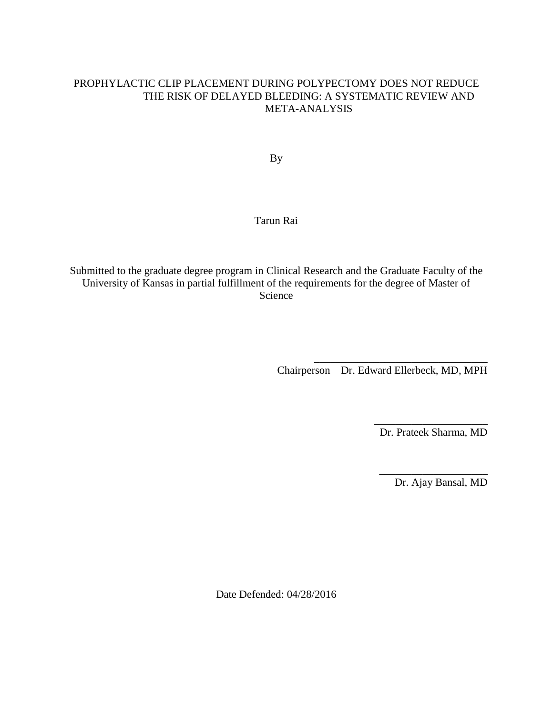### PROPHYLACTIC CLIP PLACEMENT DURING POLYPECTOMY DOES NOT REDUCE THE RISK OF DELAYED BLEEDING: A SYSTEMATIC REVIEW AND META-ANALYSIS

By

### Tarun Rai

Submitted to the graduate degree program in Clinical Research and the Graduate Faculty of the University of Kansas in partial fulfillment of the requirements for the degree of Master of Science

Chairperson Dr. Edward Ellerbeck, MD, MPH

\_\_\_\_\_\_\_\_\_\_\_\_\_\_\_\_\_\_\_\_\_\_\_\_\_\_\_\_\_\_\_\_

\_\_\_\_\_\_\_\_\_\_\_\_\_\_\_\_\_\_\_\_\_ Dr. Prateek Sharma, MD

\_\_\_\_\_\_\_\_\_\_\_\_\_\_\_\_\_\_\_\_

Dr. Ajay Bansal, MD

Date Defended: 04/28/2016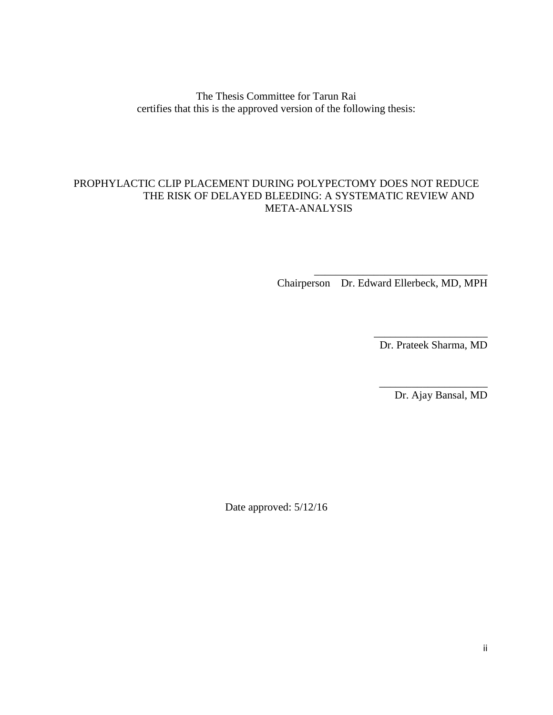The Thesis Committee for Tarun Rai certifies that this is the approved version of the following thesis:

### PROPHYLACTIC CLIP PLACEMENT DURING POLYPECTOMY DOES NOT REDUCE THE RISK OF DELAYED BLEEDING: A SYSTEMATIC REVIEW AND META-ANALYSIS

Chairperson Dr. Edward Ellerbeck, MD, MPH

\_\_\_\_\_\_\_\_\_\_\_\_\_\_\_\_\_\_\_\_\_\_\_\_\_\_\_\_\_\_\_\_

\_\_\_\_\_\_\_\_\_\_\_\_\_\_\_\_\_\_\_\_\_ Dr. Prateek Sharma, MD

\_\_\_\_\_\_\_\_\_\_\_\_\_\_\_\_\_\_\_\_

Dr. Ajay Bansal, MD

Date approved: 5/12/16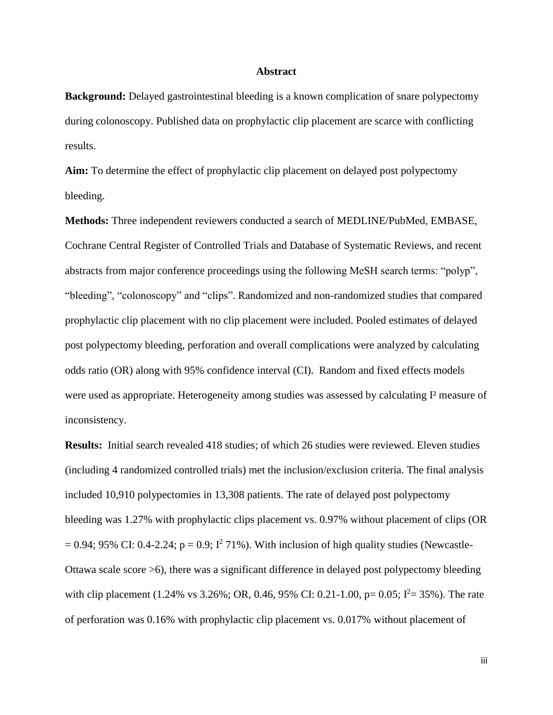### **Abstract**

**Background:** Delayed gastrointestinal bleeding is a known complication of snare polypectomy during colonoscopy. Published data on prophylactic clip placement are scarce with conflicting results.

**Aim:** To determine the effect of prophylactic clip placement on delayed post polypectomy bleeding.

**Methods:** Three independent reviewers conducted a search of MEDLINE/PubMed, EMBASE, Cochrane Central Register of Controlled Trials and Database of Systematic Reviews, and recent abstracts from major conference proceedings using the following MeSH search terms: "polyp", "bleeding", "colonoscopy" and "clips". Randomized and non-randomized studies that compared prophylactic clip placement with no clip placement were included. Pooled estimates of delayed post polypectomy bleeding, perforation and overall complications were analyzed by calculating odds ratio (OR) along with 95% confidence interval (CI). Random and fixed effects models were used as appropriate. Heterogeneity among studies was assessed by calculating I² measure of inconsistency.

**Results:** Initial search revealed 418 studies; of which 26 studies were reviewed. Eleven studies (including 4 randomized controlled trials) met the inclusion/exclusion criteria. The final analysis included 10,910 polypectomies in 13,308 patients. The rate of delayed post polypectomy bleeding was 1.27% with prophylactic clips placement vs. 0.97% without placement of clips (OR  $= 0.94$ ; 95% CI: 0.4-2.24; p = 0.9; I<sup>2</sup> 71%). With inclusion of high quality studies (Newcastle-Ottawa scale score >6), there was a significant difference in delayed post polypectomy bleeding with clip placement (1.24% vs 3.26%; OR, 0.46, 95% CI: 0.21-1.00, p= 0.05;  $I^2 = 35$ %). The rate of perforation was 0.16% with prophylactic clip placement vs. 0.017% without placement of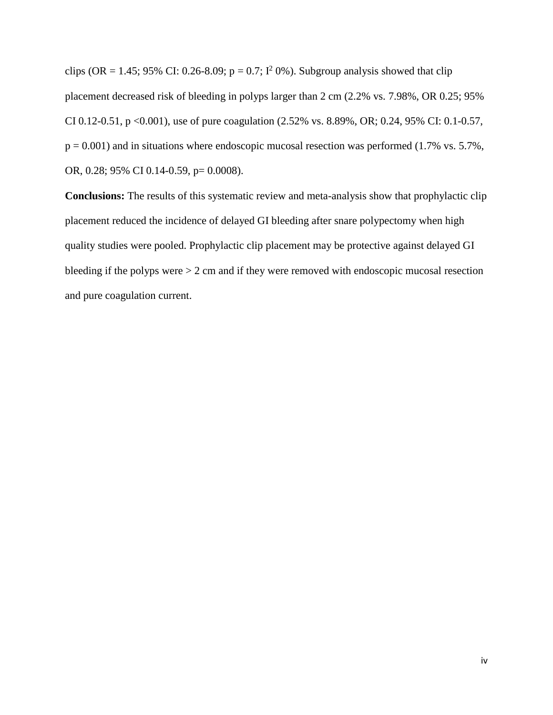clips (OR = 1.45; 95% CI: 0.26-8.09;  $p = 0.7$ ;  $I^2$  0%). Subgroup analysis showed that clip placement decreased risk of bleeding in polyps larger than 2 cm (2.2% vs. 7.98%, OR 0.25; 95% CI 0.12-0.51, p <0.001), use of pure coagulation (2.52% vs. 8.89%, OR; 0.24, 95% CI: 0.1-0.57,  $p = 0.001$ ) and in situations where endoscopic mucosal resection was performed (1.7% vs. 5.7%, OR, 0.28; 95% CI 0.14-0.59, p= 0.0008).

**Conclusions:** The results of this systematic review and meta-analysis show that prophylactic clip placement reduced the incidence of delayed GI bleeding after snare polypectomy when high quality studies were pooled. Prophylactic clip placement may be protective against delayed GI bleeding if the polyps were > 2 cm and if they were removed with endoscopic mucosal resection and pure coagulation current.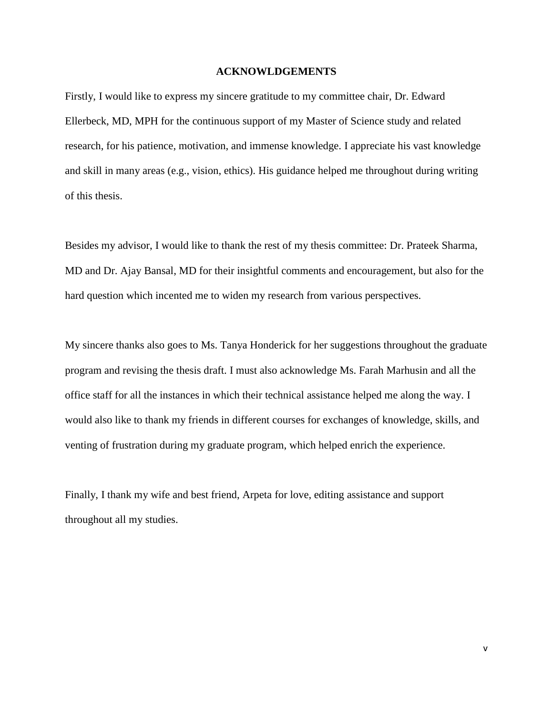### **ACKNOWLDGEMENTS**

Firstly, I would like to express my sincere gratitude to my committee chair, Dr. Edward Ellerbeck, MD, MPH for the continuous support of my Master of Science study and related research, for his patience, motivation, and immense knowledge. I appreciate his vast knowledge and skill in many areas (e.g., vision, ethics). His guidance helped me throughout during writing of this thesis.

Besides my advisor, I would like to thank the rest of my thesis committee: Dr. Prateek Sharma, MD and Dr. Ajay Bansal, MD for their insightful comments and encouragement, but also for the hard question which incented me to widen my research from various perspectives.

My sincere thanks also goes to Ms. Tanya Honderick for her suggestions throughout the graduate program and revising the thesis draft. I must also acknowledge Ms. Farah Marhusin and all the office staff for all the instances in which their technical assistance helped me along the way. I would also like to thank my friends in different courses for exchanges of knowledge, skills, and venting of frustration during my graduate program, which helped enrich the experience.

Finally, I thank my wife and best friend, Arpeta for love, editing assistance and support throughout all my studies.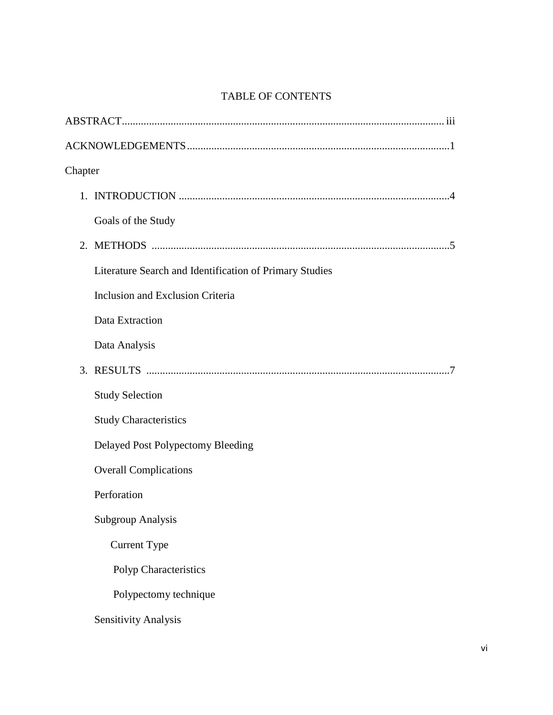## TABLE OF CONTENTS

| Chapter                                                 |  |
|---------------------------------------------------------|--|
|                                                         |  |
| Goals of the Study                                      |  |
|                                                         |  |
| Literature Search and Identification of Primary Studies |  |
| Inclusion and Exclusion Criteria                        |  |
| Data Extraction                                         |  |
| Data Analysis                                           |  |
|                                                         |  |
| <b>Study Selection</b>                                  |  |
| <b>Study Characteristics</b>                            |  |
| Delayed Post Polypectomy Bleeding                       |  |
| <b>Overall Complications</b>                            |  |
| Perforation                                             |  |
| <b>Subgroup Analysis</b>                                |  |
| <b>Current Type</b>                                     |  |
| Polyp Characteristics                                   |  |
| Polypectomy technique                                   |  |
| <b>Sensitivity Analysis</b>                             |  |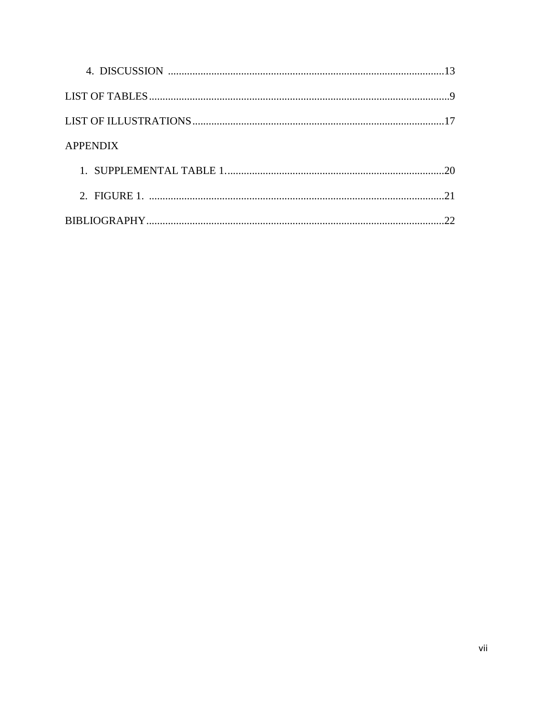| <b>APPENDIX</b> |    |
|-----------------|----|
|                 | 20 |
|                 | 21 |
|                 |    |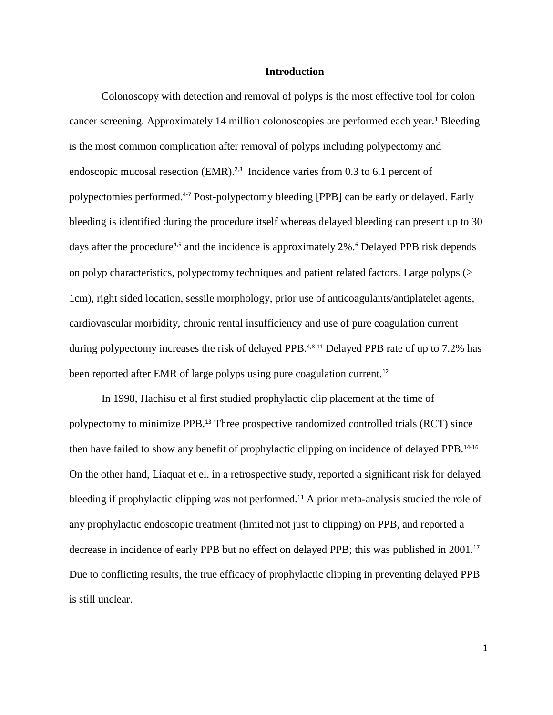### **Introduction**

Colonoscopy with detection and removal of polyps is the most effective tool for colon cancer screening. Approximately 14 million colonoscopies are performed each year.<sup>1</sup> Bleeding is the most common complication after removal of polyps including polypectomy and endoscopic mucosal resection  $(EMR).^{2,3}$  Incidence varies from 0.3 to 6.1 percent of polypectomies performed.4-7 Post-polypectomy bleeding [PPB] can be early or delayed. Early bleeding is identified during the procedure itself whereas delayed bleeding can present up to 30 days after the procedure<sup>4,5</sup> and the incidence is approximately 2%.<sup>6</sup> Delayed PPB risk depends on polyp characteristics, polypectomy techniques and patient related factors. Large polyps  $(\geq$ 1cm), right sided location, sessile morphology, prior use of anticoagulants/antiplatelet agents, cardiovascular morbidity, chronic rental insufficiency and use of pure coagulation current during polypectomy increases the risk of delayed PPB.<sup>4,8-11</sup> Delayed PPB rate of up to 7.2% has been reported after EMR of large polyps using pure coagulation current.<sup>12</sup>

In 1998, Hachisu et al first studied prophylactic clip placement at the time of polypectomy to minimize PPB.<sup>13</sup> Three prospective randomized controlled trials (RCT) since then have failed to show any benefit of prophylactic clipping on incidence of delayed PPB.14-16 On the other hand, Liaquat et el. in a retrospective study, reported a significant risk for delayed bleeding if prophylactic clipping was not performed.<sup>11</sup> A prior meta-analysis studied the role of any prophylactic endoscopic treatment (limited not just to clipping) on PPB, and reported a decrease in incidence of early PPB but no effect on delayed PPB; this was published in 2001.<sup>17</sup> Due to conflicting results, the true efficacy of prophylactic clipping in preventing delayed PPB is still unclear.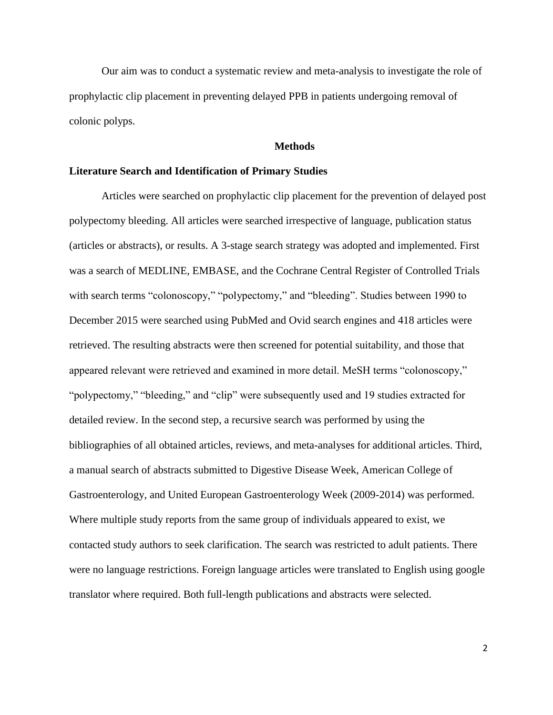Our aim was to conduct a systematic review and meta-analysis to investigate the role of prophylactic clip placement in preventing delayed PPB in patients undergoing removal of colonic polyps.

### **Methods**

### **Literature Search and Identification of Primary Studies**

Articles were searched on prophylactic clip placement for the prevention of delayed post polypectomy bleeding. All articles were searched irrespective of language, publication status (articles or abstracts), or results. A 3-stage search strategy was adopted and implemented. First was a search of MEDLINE, EMBASE, and the Cochrane Central Register of Controlled Trials with search terms "colonoscopy," "polypectomy," and "bleeding". Studies between 1990 to December 2015 were searched using PubMed and Ovid search engines and 418 articles were retrieved. The resulting abstracts were then screened for potential suitability, and those that appeared relevant were retrieved and examined in more detail. MeSH terms "colonoscopy," "polypectomy," "bleeding," and "clip" were subsequently used and 19 studies extracted for detailed review. In the second step, a recursive search was performed by using the bibliographies of all obtained articles, reviews, and meta-analyses for additional articles. Third, a manual search of abstracts submitted to Digestive Disease Week, American College of Gastroenterology, and United European Gastroenterology Week (2009-2014) was performed. Where multiple study reports from the same group of individuals appeared to exist, we contacted study authors to seek clarification. The search was restricted to adult patients. There were no language restrictions. Foreign language articles were translated to English using google translator where required. Both full-length publications and abstracts were selected.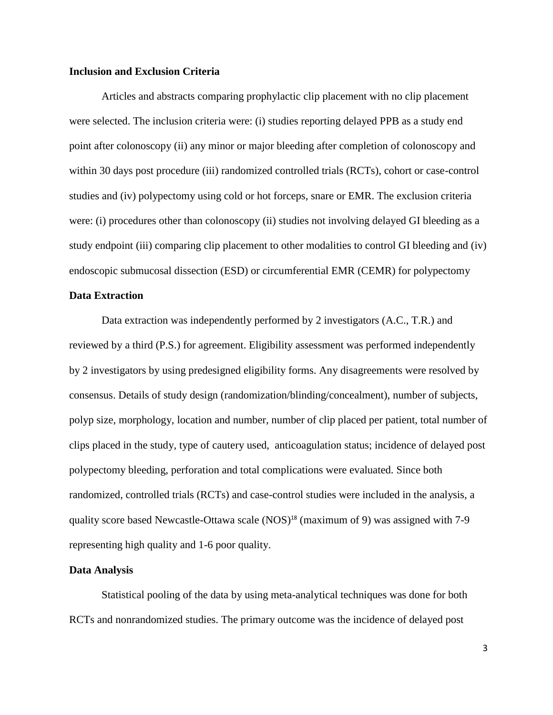### **Inclusion and Exclusion Criteria**

Articles and abstracts comparing prophylactic clip placement with no clip placement were selected. The inclusion criteria were: (i) studies reporting delayed PPB as a study end point after colonoscopy (ii) any minor or major bleeding after completion of colonoscopy and within 30 days post procedure (iii) randomized controlled trials (RCTs), cohort or case-control studies and (iv) polypectomy using cold or hot forceps, snare or EMR. The exclusion criteria were: (i) procedures other than colonoscopy (ii) studies not involving delayed GI bleeding as a study endpoint (iii) comparing clip placement to other modalities to control GI bleeding and (iv) endoscopic submucosal dissection (ESD) or circumferential EMR (CEMR) for polypectomy

### **Data Extraction**

Data extraction was independently performed by 2 investigators (A.C., T.R.) and reviewed by a third (P.S.) for agreement. Eligibility assessment was performed independently by 2 investigators by using predesigned eligibility forms. Any disagreements were resolved by consensus. Details of study design (randomization/blinding/concealment), number of subjects, polyp size, morphology, location and number, number of clip placed per patient, total number of clips placed in the study, type of cautery used, anticoagulation status; incidence of delayed post polypectomy bleeding, perforation and total complications were evaluated. Since both randomized, controlled trials (RCTs) and case-control studies were included in the analysis, a quality score based Newcastle-Ottawa scale (NOS)<sup>18</sup> (maximum of 9) was assigned with 7-9 representing high quality and 1-6 poor quality.

#### **Data Analysis**

Statistical pooling of the data by using meta-analytical techniques was done for both RCTs and nonrandomized studies. The primary outcome was the incidence of delayed post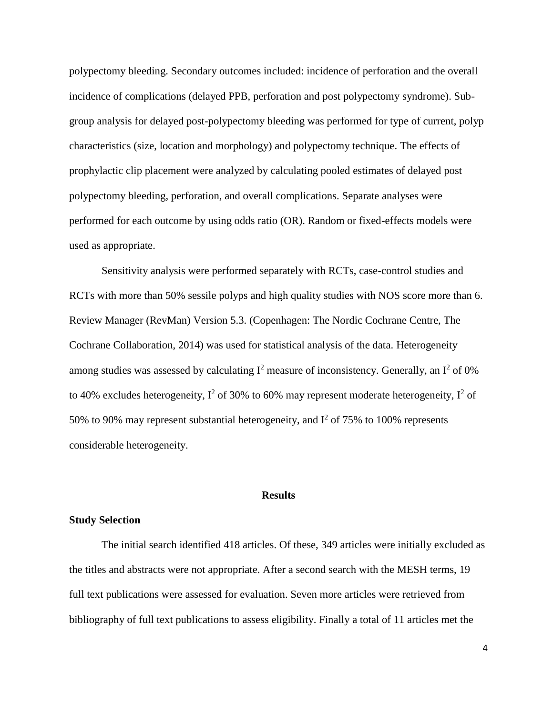polypectomy bleeding. Secondary outcomes included: incidence of perforation and the overall incidence of complications (delayed PPB, perforation and post polypectomy syndrome). Subgroup analysis for delayed post-polypectomy bleeding was performed for type of current, polyp characteristics (size, location and morphology) and polypectomy technique. The effects of prophylactic clip placement were analyzed by calculating pooled estimates of delayed post polypectomy bleeding, perforation, and overall complications. Separate analyses were performed for each outcome by using odds ratio (OR). Random or fixed-effects models were used as appropriate.

Sensitivity analysis were performed separately with RCTs, case-control studies and RCTs with more than 50% sessile polyps and high quality studies with NOS score more than 6. Review Manager (RevMan) Version 5.3. (Copenhagen: The Nordic Cochrane Centre, The Cochrane Collaboration, 2014) was used for statistical analysis of the data. Heterogeneity among studies was assessed by calculating  $I^2$  measure of inconsistency. Generally, an  $I^2$  of 0% to 40% excludes heterogeneity,  $I^2$  of 30% to 60% may represent moderate heterogeneity,  $I^2$  of 50% to 90% may represent substantial heterogeneity, and  $I^2$  of 75% to 100% represents considerable heterogeneity.

### **Results**

### **Study Selection**

The initial search identified 418 articles. Of these, 349 articles were initially excluded as the titles and abstracts were not appropriate. After a second search with the MESH terms, 19 full text publications were assessed for evaluation. Seven more articles were retrieved from bibliography of full text publications to assess eligibility. Finally a total of 11 articles met the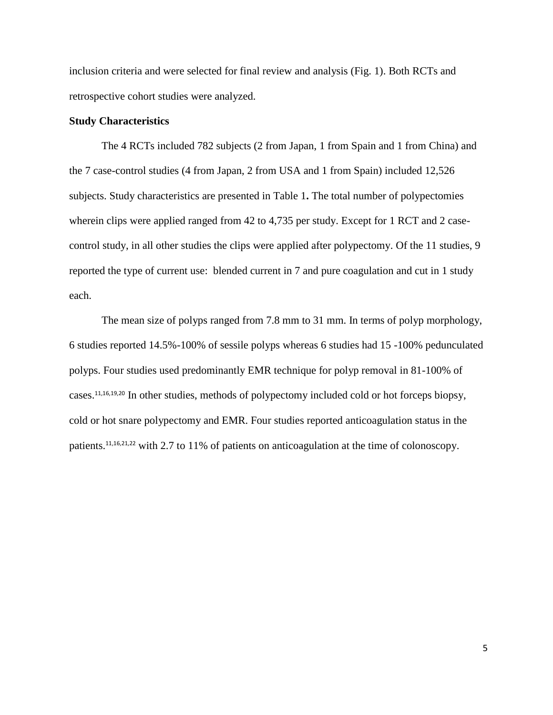inclusion criteria and were selected for final review and analysis (Fig. 1). Both RCTs and retrospective cohort studies were analyzed.

### **Study Characteristics**

The 4 RCTs included 782 subjects (2 from Japan, 1 from Spain and 1 from China) and the 7 case-control studies (4 from Japan, 2 from USA and 1 from Spain) included 12,526 subjects. Study characteristics are presented in Table 1**.** The total number of polypectomies wherein clips were applied ranged from 42 to 4,735 per study. Except for 1 RCT and 2 casecontrol study, in all other studies the clips were applied after polypectomy. Of the 11 studies, 9 reported the type of current use: blended current in 7 and pure coagulation and cut in 1 study each.

The mean size of polyps ranged from 7.8 mm to 31 mm. In terms of polyp morphology, 6 studies reported 14.5%-100% of sessile polyps whereas 6 studies had 15 -100% pedunculated polyps. Four studies used predominantly EMR technique for polyp removal in 81-100% of cases.11,16,19,20 In other studies, methods of polypectomy included cold or hot forceps biopsy, cold or hot snare polypectomy and EMR. Four studies reported anticoagulation status in the patients.11,16,21,22 with 2.7 to 11% of patients on anticoagulation at the time of colonoscopy.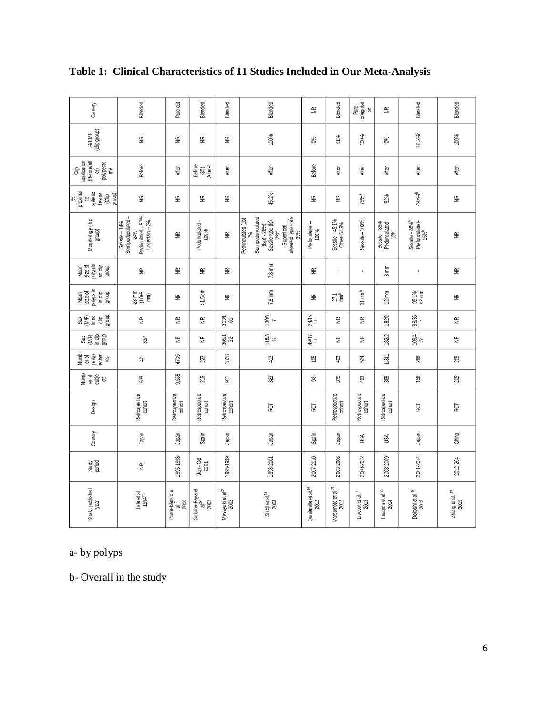| Study, published<br>year                    | Study<br>period   | Country | Design                  | numb<br>er of<br>subje<br>ű | er of<br>polyp<br>ectom<br>Numb<br>.≌ | Sangen<br>Sangen  | Selengen<br>Selengen | Mean<br>size of<br>polyps in<br>in dip<br>group | size of<br>polyp in<br>no clip<br>group<br>Mean | Morphology (dip<br>group)                                                                                                          | proximal<br>to<br>splenic<br>flexure<br>$\frac{\text{(Clip)}}{\text{group}}$<br>$\%$ | Clip<br>application<br>(Before/aft<br>polypecto<br>my<br>$\widehat{\mathbf{a}}$ | % EMR<br>(clip group) | Cautery                 |
|---------------------------------------------|-------------------|---------|-------------------------|-----------------------------|---------------------------------------|-------------------|----------------------|-------------------------------------------------|-------------------------------------------------|------------------------------------------------------------------------------------------------------------------------------------|--------------------------------------------------------------------------------------|---------------------------------------------------------------------------------|-----------------------|-------------------------|
| Lida et al<br>1994 <sup>26</sup>            | $\widetilde{\Xi}$ | Japan   | Retrospective<br>cohort | 639                         | 42                                    | 33/7              | $\widetilde{\Xi}$    | 23 mm<br>C 1956<br>R 1967                       | $\widetilde{\Xi}$                               | Peduculated - 57%<br>Uncertain - 2%<br>Semipeduculated -<br>Sessile - 14%<br>24%                                                   | $\widetilde{\Xi}$                                                                    | Before                                                                          | $\widetilde{\Xi}$     | Blended                 |
| Parra-Blanco et<br>$a^{27}$<br>2000         | 995-1998          | Japan   | Retrospective<br>cohort | 9,555                       | 4735                                  | £                 | $\widetilde{\Xi}$    | $\widetilde{\Xi}$                               | $\widetilde{\Xi}$                               | $\widetilde{\Xi}$                                                                                                                  | $\widetilde{\Xi}$                                                                    | After                                                                           | $\widetilde{\Xi}$     | Pure cut                |
| Sobrina-Faya et<br>al <sup>28</sup><br>2002 | Jan-Oct<br>2001   | Spain   | Retrospective<br>cohort | 215                         | 223                                   | $\widetilde{\Xi}$ | $\widetilde{\Xi}$    | $\times1.5~\text{cm}$                           | $\widetilde{\Xi}$                               | Pedunculated-<br>100%                                                                                                              | $\widetilde{\Xi}$                                                                    | Before<br>(30)<br>After-4                                                       | $\widetilde{\Xi}$     | Blended                 |
| Masayuki et al <sup>24</sup><br>2002        | 1995-1999         | Japan   | Retrospective<br>cohort | $\overline{5}$              | 1828                                  | 305/1<br>32       | $313/1$<br>$61$      | $\widetilde{\Xi}$                               | $\widetilde{\Xi}$                               | $\widetilde{\Xi}$                                                                                                                  | $\widetilde{\Xi}$                                                                    | After                                                                           | $\widetilde{\Xi}$     | Blended                 |
| Shioji et al. <sup>15</sup><br>2003         | 1998-2001         | Japan   | RCT                     | 323                         | 413                                   | $\frac{8}{3}$     | $\frac{7}{130/3}$    | 7.8 mm                                          | 7.8 mm                                          | Pedunculated (1p)-<br>Semipedunculated<br>elevated type (IIa)-<br>39%<br>Sessile type (is)-<br>29%<br>$(lsp) - 26%$<br>Superficial | 45.2%                                                                                | After                                                                           | 100%                  | Blended                 |
| Qunitanilla et al. <sup>14</sup><br>2012    | 2007-2010         | Spain   | RCT                     | 28                          | 105                                   | 49/17             | 24/15                | $\widetilde{\Xi}$                               | $\widetilde{\Xi}$                               | Peduculated-<br>100%                                                                                                               | $\widetilde{\Xi}$                                                                    | Before                                                                          | 0%                    | $\widetilde{\Xi}$       |
| Matsumoto et al. <sup>21</sup><br>2012      | 2003-2006         | Japan   | Retrospective<br>cohort | 375                         | 403                                   | £                 | $\widetilde{\Xi}$    | 27.1                                            | $\epsilon$                                      | Sessile - 45.1%<br>Other- 54.9%                                                                                                    | $\widetilde{\Xi}$                                                                    | After                                                                           | 51%                   | Blended                 |
| Liaquat et al. <sup>11</sup><br>$2013$      | 2000-2012         | USA     | Retrospective<br>cohort | 463                         | 524                                   | $\widetilde{\Xi}$ | $\widetilde{\Xi}$    | $31 \text{ mm}^b$                               | ¥,                                              | $Sessile - 100%$                                                                                                                   | 75%                                                                                  | After                                                                           | 100%                  | Pure<br>coagulati<br>on |
| Feagins et al. <sup>29</sup><br>2014        | 2008-2009         | USA     | Retrospective<br>cohort | 368                         | 1,311                                 | 182/2             | 182/2                | $12 \text{ mm}$                                 | mm<br>$\infty$                                  | Sessile – 85%<br>Pedunculated-<br>15%                                                                                              | 52%                                                                                  | After                                                                           | O%                    | $\widetilde{\Xi}$       |
| Dokoshi et al. <sup>16</sup><br>2015        | 2001-2014         | Japan   | RCT                     | 156                         | 288                                   | 109/4             | 99/35                | 95.1%<br><2 cm <sup>b</sup>                     |                                                 | Sessile – 85% <sup>b</sup><br>Pedunculated-<br>15% <sup>b</sup>                                                                    | 49.6%                                                                                | After                                                                           | $81.2\%^{b}$          | Blended                 |
| Zhang et al. <sup>19</sup><br>2015          | 2012-204          | China   | <b>RCT</b>              | 205                         | 205                                   | $\widetilde{\Xi}$ | $\widetilde{\Xi}$    | $\widetilde{\Xi}$                               | $\widetilde{\Xi}$                               | $\widetilde{\Xi}$                                                                                                                  | $\widetilde{\Xi}$                                                                    | After                                                                           | 100%                  | Blended                 |

## **Table 1: Clinical Characteristics of 11 Studies Included in Our Meta-Analysis**

a- by polyps

b- Overall in the study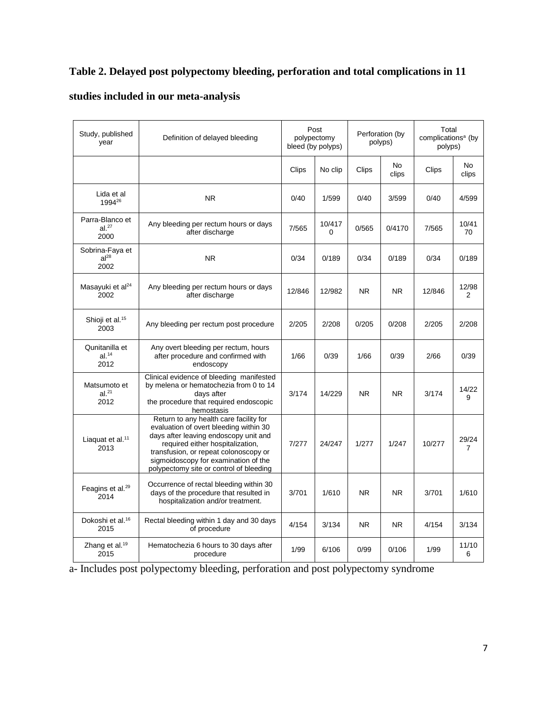### **Table 2. Delayed post polypectomy bleeding, perforation and total complications in 11**

| Study, published<br>year                     | Definition of delayed bleeding                                                                                                                                                                                                                                                            |        | Post<br>polypectomy<br>bleed (by polyps) |                | Perforation (by<br>polyps) | Total<br>complications <sup>a</sup> (by<br>polyps) |             |
|----------------------------------------------|-------------------------------------------------------------------------------------------------------------------------------------------------------------------------------------------------------------------------------------------------------------------------------------------|--------|------------------------------------------|----------------|----------------------------|----------------------------------------------------|-------------|
|                                              |                                                                                                                                                                                                                                                                                           | Clips  | No clip                                  | Clips          | No<br>clips                | Clips                                              | No<br>clips |
| Lida et al<br>199426                         | <b>NR</b>                                                                                                                                                                                                                                                                                 | 0/40   | 1/599                                    | 0/40           | 3/599                      | 0/40                                               | 4/599       |
| Parra-Blanco et<br>al. <sup>27</sup><br>2000 | Any bleeding per rectum hours or days<br>after discharge                                                                                                                                                                                                                                  | 7/565  | 10/417<br>$\Omega$                       | 0/565          | 0/4170                     | 7/565                                              | 10/41<br>70 |
| Sobrina-Faya et<br>al <sup>28</sup><br>2002  | <b>NR</b>                                                                                                                                                                                                                                                                                 | 0/34   | 0/189                                    | 0/34           | 0/189                      | 0/34                                               | 0/189       |
| Masayuki et al <sup>24</sup><br>2002         | Any bleeding per rectum hours or days<br>after discharge                                                                                                                                                                                                                                  | 12/846 | 12/982                                   | NR.            | NR.                        | 12/846                                             | 12/98<br>2  |
| Shioji et al. <sup>15</sup><br>2003          | Any bleeding per rectum post procedure                                                                                                                                                                                                                                                    | 2/205  | 2/208                                    | 0/205          | 0/208                      | 2/205                                              | 2/208       |
| Qunitanilla et<br>al. <sup>14</sup><br>2012  | Any overt bleeding per rectum, hours<br>after procedure and confirmed with<br>endoscopy                                                                                                                                                                                                   | 1/66   | 0/39                                     | 1/66           | 0/39                       | 2/66                                               | 0/39        |
| Matsumoto et<br>al. <sup>21</sup><br>2012    | Clinical evidence of bleeding manifested<br>by melena or hematochezia from 0 to 14<br>days after<br>the procedure that required endoscopic<br>hemostasis                                                                                                                                  | 3/174  | 14/229                                   | N <sub>R</sub> | <b>NR</b>                  | 3/174                                              | 14/22<br>9  |
| Liaquat et al. <sup>11</sup><br>2013         | Return to any health care facility for<br>evaluation of overt bleeding within 30<br>days after leaving endoscopy unit and<br>required either hospitalization,<br>transfusion, or repeat colonoscopy or<br>sigmoidoscopy for examination of the<br>polypectomy site or control of bleeding | 7/277  | 24/247                                   | 1/277          | 1/247                      | 10/277                                             | 29/24<br>7  |
| Feagins et al. <sup>29</sup><br>2014         | Occurrence of rectal bleeding within 30<br>days of the procedure that resulted in<br>hospitalization and/or treatment.                                                                                                                                                                    | 3/701  | 1/610                                    | NR.            | NR.                        | 3/701                                              | 1/610       |
| Dokoshi et al. <sup>16</sup><br>2015         | Rectal bleeding within 1 day and 30 days<br>of procedure                                                                                                                                                                                                                                  | 4/154  | 3/134                                    | NR.            | NR.                        | 4/154                                              | 3/134       |
| Zhang et al. <sup>19</sup><br>2015           | Hematochezia 6 hours to 30 days after<br>procedure                                                                                                                                                                                                                                        | 1/99   | 6/106                                    | 0/99           | 0/106                      | 1/99                                               | 11/10<br>6  |

## **studies included in our meta-analysis**

a- Includes post polypectomy bleeding, perforation and post polypectomy syndrome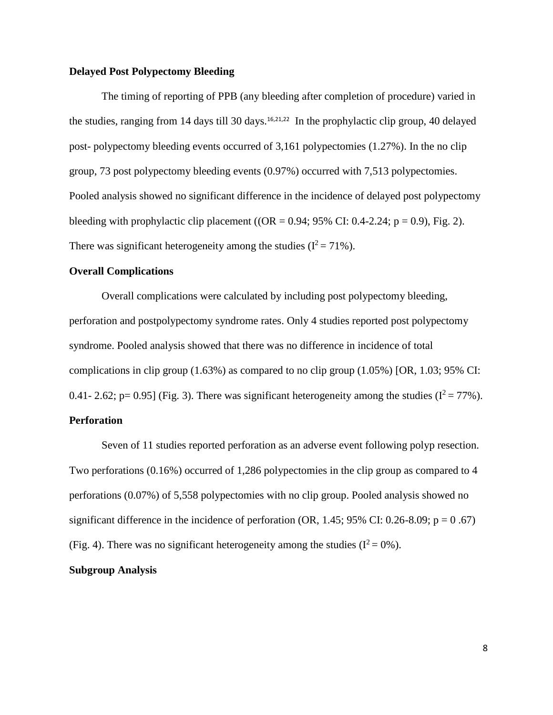### **Delayed Post Polypectomy Bleeding**

The timing of reporting of PPB (any bleeding after completion of procedure) varied in the studies, ranging from 14 days till 30 days.<sup>16,21,22</sup> In the prophylactic clip group, 40 delayed post- polypectomy bleeding events occurred of 3,161 polypectomies (1.27%). In the no clip group, 73 post polypectomy bleeding events (0.97%) occurred with 7,513 polypectomies. Pooled analysis showed no significant difference in the incidence of delayed post polypectomy bleeding with prophylactic clip placement ( $OR = 0.94$ ; 95% CI: 0.4-2.24; p = 0.9), Fig. 2). There was significant heterogeneity among the studies  $(I^2 = 71\%)$ .

### **Overall Complications**

Overall complications were calculated by including post polypectomy bleeding, perforation and postpolypectomy syndrome rates. Only 4 studies reported post polypectomy syndrome. Pooled analysis showed that there was no difference in incidence of total complications in clip group  $(1.63\%)$  as compared to no clip group  $(1.05\%)$  [OR, 1.03; 95% CI: 0.41- 2.62; p= 0.95] (Fig. 3). There was significant heterogeneity among the studies ( $I^2 = 77\%$ ).

### **Perforation**

Seven of 11 studies reported perforation as an adverse event following polyp resection. Two perforations (0.16%) occurred of 1,286 polypectomies in the clip group as compared to 4 perforations (0.07%) of 5,558 polypectomies with no clip group. Pooled analysis showed no significant difference in the incidence of perforation (OR, 1.45; 95% CI: 0.26-8.09;  $p = 0.67$ ) (Fig. 4). There was no significant heterogeneity among the studies  $(I^2 = 0\%)$ .

### **Subgroup Analysis**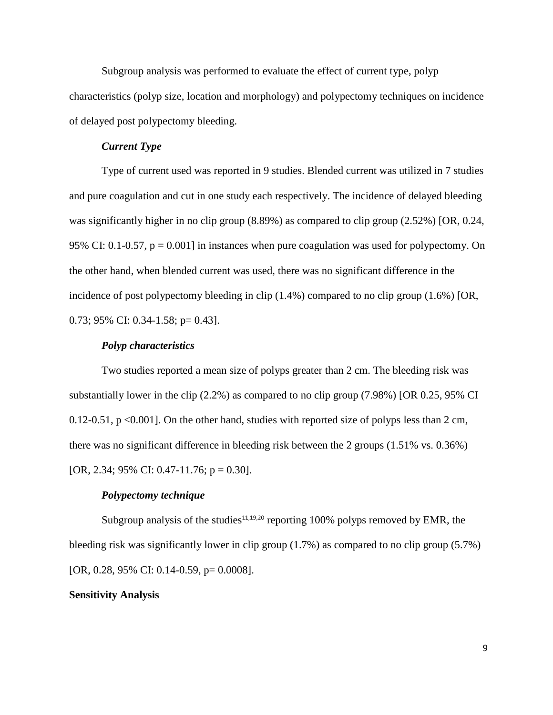Subgroup analysis was performed to evaluate the effect of current type, polyp characteristics (polyp size, location and morphology) and polypectomy techniques on incidence of delayed post polypectomy bleeding.

### *Current Type*

Type of current used was reported in 9 studies. Blended current was utilized in 7 studies and pure coagulation and cut in one study each respectively. The incidence of delayed bleeding was significantly higher in no clip group (8.89%) as compared to clip group (2.52%) [OR, 0.24, 95% CI: 0.1-0.57,  $p = 0.001$  in instances when pure coagulation was used for polypectomy. On the other hand, when blended current was used, there was no significant difference in the incidence of post polypectomy bleeding in clip (1.4%) compared to no clip group (1.6%) [OR, 0.73; 95% CI: 0.34-1.58; p= 0.43].

### *Polyp characteristics*

Two studies reported a mean size of polyps greater than 2 cm. The bleeding risk was substantially lower in the clip (2.2%) as compared to no clip group (7.98%) [OR 0.25, 95% CI 0.12-0.51,  $p \le 0.001$ . On the other hand, studies with reported size of polyps less than 2 cm, there was no significant difference in bleeding risk between the 2 groups (1.51% vs. 0.36%) [OR, 2.34; 95% CI: 0.47-11.76;  $p = 0.30$ ].

### *Polypectomy technique*

Subgroup analysis of the studies<sup>11,19,20</sup> reporting 100% polyps removed by EMR, the bleeding risk was significantly lower in clip group (1.7%) as compared to no clip group (5.7%) [OR, 0.28, 95% CI: 0.14-0.59, p= 0.0008].

### **Sensitivity Analysis**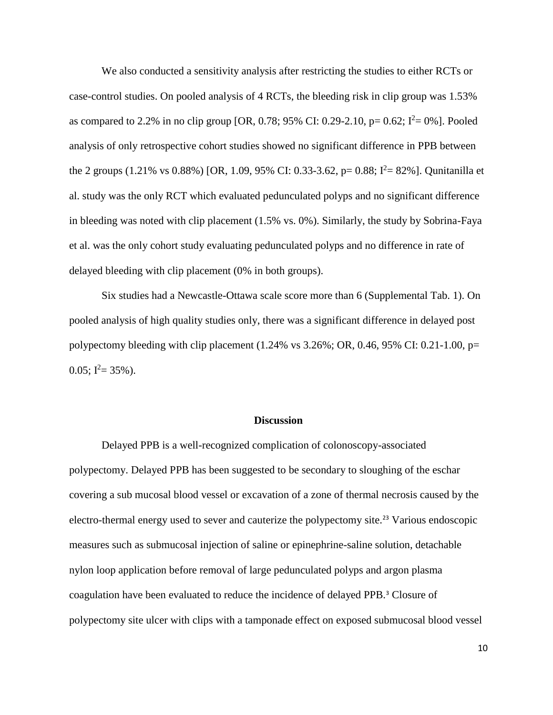We also conducted a sensitivity analysis after restricting the studies to either RCTs or case-control studies. On pooled analysis of 4 RCTs, the bleeding risk in clip group was 1.53% as compared to 2.2% in no clip group [OR, 0.78; 95% CI: 0.29-2.10, p= 0.62;  $I^2 = 0\%$ ]. Pooled analysis of only retrospective cohort studies showed no significant difference in PPB between the 2 groups (1.21% vs 0.88%) [OR, 1.09, 95% CI: 0.33-3.62, p= 0.88;  $I^2 = 82\%$ ]. Qunitanilla et al. study was the only RCT which evaluated pedunculated polyps and no significant difference in bleeding was noted with clip placement (1.5% vs. 0%). Similarly, the study by Sobrina-Faya et al. was the only cohort study evaluating pedunculated polyps and no difference in rate of delayed bleeding with clip placement (0% in both groups).

Six studies had a Newcastle-Ottawa scale score more than 6 (Supplemental Tab. 1). On pooled analysis of high quality studies only, there was a significant difference in delayed post polypectomy bleeding with clip placement  $(1.24\% \text{ vs } 3.26\%; \text{ OR}, 0.46, 95\% \text{ CI}: 0.21\text{-}1.00, \text{p=}$  $0.05$ ;  $I^2 = 35\%$ ).

#### **Discussion**

Delayed PPB is a well-recognized complication of colonoscopy-associated polypectomy. Delayed PPB has been suggested to be secondary to sloughing of the eschar covering a sub mucosal blood vessel or excavation of a zone of thermal necrosis caused by the electro-thermal energy used to sever and cauterize the polypectomy site.<sup>23</sup> Various endoscopic measures such as submucosal injection of saline or epinephrine-saline solution, detachable nylon loop application before removal of large pedunculated polyps and argon plasma coagulation have been evaluated to reduce the incidence of delayed PPB.<sup>3</sup> Closure of polypectomy site ulcer with clips with a tamponade effect on exposed submucosal blood vessel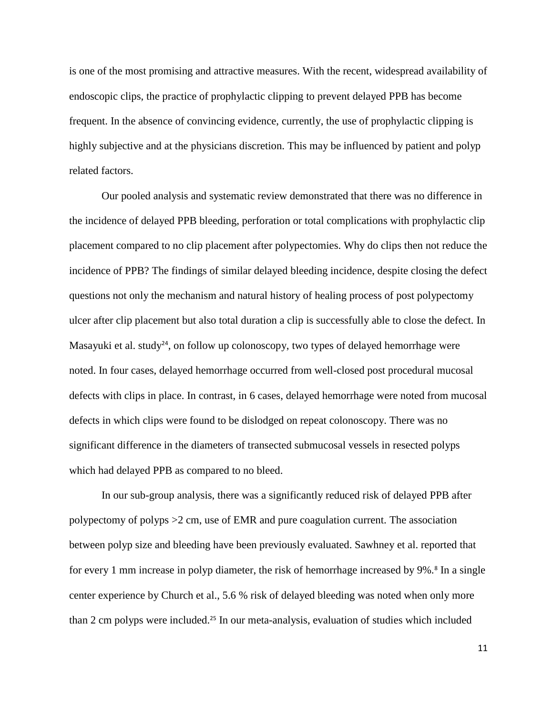is one of the most promising and attractive measures. With the recent, widespread availability of endoscopic clips, the practice of prophylactic clipping to prevent delayed PPB has become frequent. In the absence of convincing evidence, currently, the use of prophylactic clipping is highly subjective and at the physicians discretion. This may be influenced by patient and polyp related factors.

Our pooled analysis and systematic review demonstrated that there was no difference in the incidence of delayed PPB bleeding, perforation or total complications with prophylactic clip placement compared to no clip placement after polypectomies. Why do clips then not reduce the incidence of PPB? The findings of similar delayed bleeding incidence, despite closing the defect questions not only the mechanism and natural history of healing process of post polypectomy ulcer after clip placement but also total duration a clip is successfully able to close the defect. In Masayuki et al. study<sup>24</sup>, on follow up colonoscopy, two types of delayed hemorrhage were noted. In four cases, delayed hemorrhage occurred from well-closed post procedural mucosal defects with clips in place. In contrast, in 6 cases, delayed hemorrhage were noted from mucosal defects in which clips were found to be dislodged on repeat colonoscopy. There was no significant difference in the diameters of transected submucosal vessels in resected polyps which had delayed PPB as compared to no bleed.

In our sub-group analysis, there was a significantly reduced risk of delayed PPB after polypectomy of polyps >2 cm, use of EMR and pure coagulation current. The association between polyp size and bleeding have been previously evaluated. Sawhney et al. reported that for every 1 mm increase in polyp diameter, the risk of hemorrhage increased by 9%.<sup>8</sup> In a single center experience by Church et al., 5.6 % risk of delayed bleeding was noted when only more than 2 cm polyps were included.<sup>25</sup> In our meta-analysis, evaluation of studies which included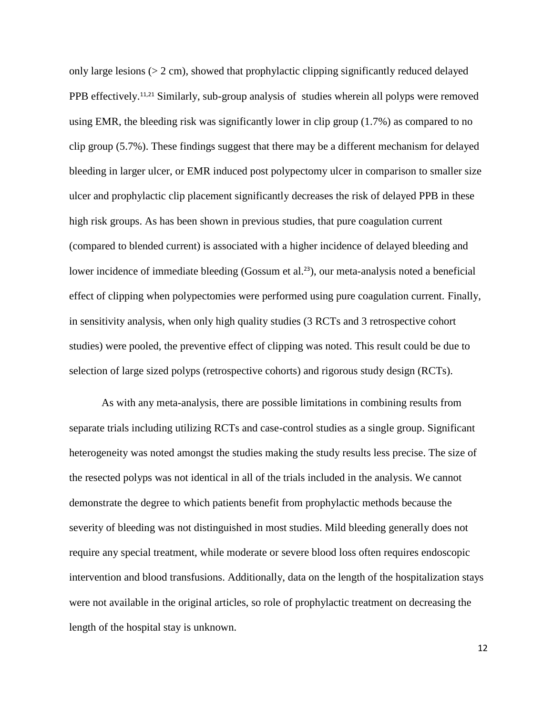only large lesions ( $> 2$  cm), showed that prophylactic clipping significantly reduced delayed PPB effectively.<sup>11,21</sup> Similarly, sub-group analysis of studies wherein all polyps were removed using EMR, the bleeding risk was significantly lower in clip group (1.7%) as compared to no clip group (5.7%). These findings suggest that there may be a different mechanism for delayed bleeding in larger ulcer, or EMR induced post polypectomy ulcer in comparison to smaller size ulcer and prophylactic clip placement significantly decreases the risk of delayed PPB in these high risk groups. As has been shown in previous studies, that pure coagulation current (compared to blended current) is associated with a higher incidence of delayed bleeding and lower incidence of immediate bleeding (Gossum et al.<sup>23</sup>), our meta-analysis noted a beneficial effect of clipping when polypectomies were performed using pure coagulation current. Finally, in sensitivity analysis, when only high quality studies (3 RCTs and 3 retrospective cohort studies) were pooled, the preventive effect of clipping was noted. This result could be due to selection of large sized polyps (retrospective cohorts) and rigorous study design (RCTs).

As with any meta-analysis, there are possible limitations in combining results from separate trials including utilizing RCTs and case-control studies as a single group. Significant heterogeneity was noted amongst the studies making the study results less precise. The size of the resected polyps was not identical in all of the trials included in the analysis. We cannot demonstrate the degree to which patients benefit from prophylactic methods because the severity of bleeding was not distinguished in most studies. Mild bleeding generally does not require any special treatment, while moderate or severe blood loss often requires endoscopic intervention and blood transfusions. Additionally, data on the length of the hospitalization stays were not available in the original articles, so role of prophylactic treatment on decreasing the length of the hospital stay is unknown.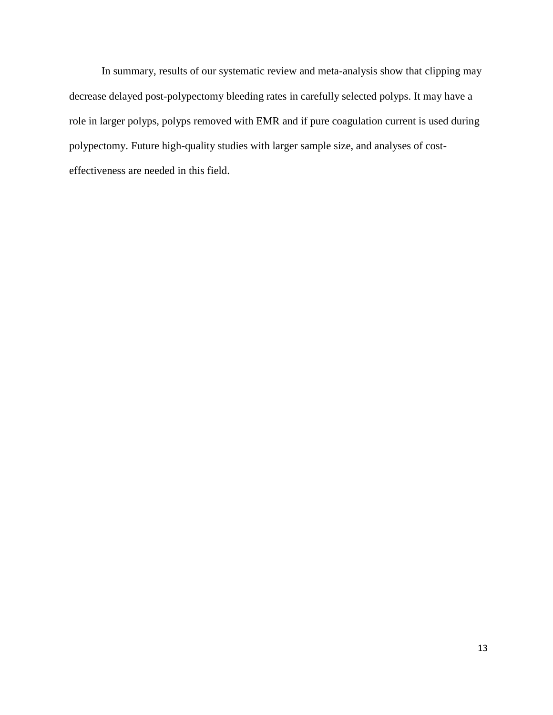In summary, results of our systematic review and meta-analysis show that clipping may decrease delayed post-polypectomy bleeding rates in carefully selected polyps. It may have a role in larger polyps, polyps removed with EMR and if pure coagulation current is used during polypectomy. Future high-quality studies with larger sample size, and analyses of costeffectiveness are needed in this field.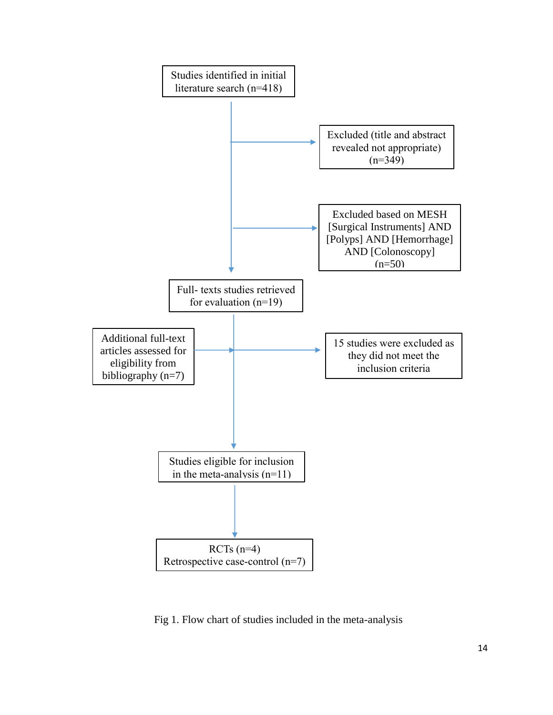

Fig 1. Flow chart of studies included in the meta-analysis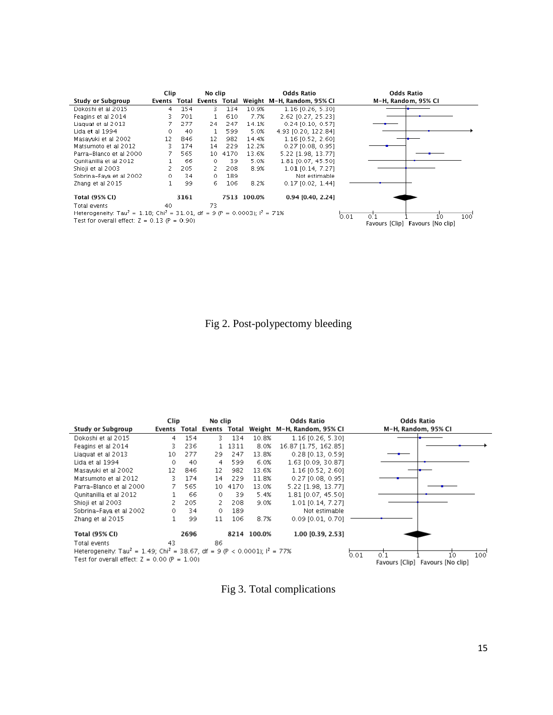|                                                                                                                                                                      | Clip           |      | No clip                   |      |             | <b>Odds Ratio</b>          | <b>Odds Ratio</b>                                               |
|----------------------------------------------------------------------------------------------------------------------------------------------------------------------|----------------|------|---------------------------|------|-------------|----------------------------|-----------------------------------------------------------------|
| Study or Subgroup                                                                                                                                                    |                |      | Events Total Events Total |      |             | Weight M-H, Random, 95% CI | M-H, Random, 95% CI                                             |
| Dokoshi et al 2015                                                                                                                                                   | $\overline{4}$ | 154  | 3.                        | 134  | 10.9%       | 1.16 [0.26, 5.30]          |                                                                 |
| Feagins et al 2014                                                                                                                                                   | 3.             | 701  |                           | 610  | 7.7%        | 2.62 [0.27, 25.23]         |                                                                 |
| Liaguat et al 2013                                                                                                                                                   | 7              | 277  | 24                        | 247  | 14.1%       | $0.24$ [0.10, 0.57]        |                                                                 |
| Lida et al 1994                                                                                                                                                      | 0              | 40   |                           | 599  | 5.0%        | 4.93 (0.20, 122.84)        |                                                                 |
| Masavuki et al 2002                                                                                                                                                  | 12             | 846  | 12                        | 982  | 14.4%       | 1.16 [0.52, 2.60]          |                                                                 |
| Matsumoto et al 2012                                                                                                                                                 | 3              | 174  | 14                        | 229  | 12.2%       | $0.27$ [0.08, 0.95]        |                                                                 |
| Parra-Blanco et al 2000                                                                                                                                              |                | 565  | 10                        | 4170 | 13.6%       | 5.22 [1.98, 13.77]         |                                                                 |
| Ounitanilla et al 2012                                                                                                                                               |                | 66   | $\circ$                   | 39   | 5.0%        | 1.81 [0.07, 45.50]         |                                                                 |
| Shioji et al 2003                                                                                                                                                    |                | 205  | 2.                        | 208  | 8.9%        | 1.01 [0.14, 7.27]          |                                                                 |
| Sobrina-Fava et al 2002                                                                                                                                              | 0              | 34   | $\circ$                   | 189  |             | Not estimable              |                                                                 |
| Zhang et al 2015                                                                                                                                                     |                | 99   | 6.                        | 106  | 8.2%        | $0.17$ $[0.02, 1.44]$      |                                                                 |
| <b>Total (95% CI)</b>                                                                                                                                                |                | 3161 |                           |      | 7513 100.0% | 0.94 [0.40, 2.24]          |                                                                 |
| Total events<br>Heterogeneity: Tau <sup>2</sup> = 1.18; Chi <sup>2</sup> = 31.01, df = 9 (P = 0.0003); $I^2$ = 71%<br>Test for overall effect: $Z = 0.13$ (P = 0.90) | 40             |      | 73                        |      |             |                            | 0.01<br>10<br>100<br>0.1<br>Favours [Clip]<br>Favours [No clip] |

Fig 2. Post-polypectomy bleeding

|                                                                                                                    | Clip   |      | No clip            |        |             | <b>Odds Ratio</b>          | <b>Odds Ratio</b>                |
|--------------------------------------------------------------------------------------------------------------------|--------|------|--------------------|--------|-------------|----------------------------|----------------------------------|
| Study or Subgroup                                                                                                  | Events |      | Total Events Total |        |             | Weight M-H, Random, 95% CI | M-H, Random, 95% CI              |
| Dokoshi et al 2015                                                                                                 | 4      | 154  | 3.                 | 134    | 10.8%       | $1.16$ [0.26, 5.30]        |                                  |
| Feagins et al 2014                                                                                                 | 3.     | 236  |                    | 1 1311 | 8.0%        | 16.87 [1.75, 162.85]       |                                  |
| Liaguat et al 2013                                                                                                 | 10     | 277  | 29.                | 247    | 13.8%       | $0.28$ [0.13, 0.59]        |                                  |
| Lida et al 1994                                                                                                    | 0      | 40   | 4                  | 599    | 6.0%        | 1.63 [0.09, 30.87]         |                                  |
| Masayuki et al 2002                                                                                                | 12     | 846  | 12                 | 982    | 13.6%       | $1.16$ [0.52, 2.60]        |                                  |
| Matsumoto et al 2012                                                                                               | 3.     | 174  | 14                 | 229    | 11.8%       | $0.27$ [0.08, 0.95]        |                                  |
| Parra-Blanco et al 2000                                                                                            |        | 565  | 10                 | 4170   | 13.0%       | 5.22 [1.98, 13.77]         |                                  |
| Qunitanilla et al 2012                                                                                             |        | 66   | 0                  | 39     | 5.4%        | 1.81 [0.07, 45.50]         |                                  |
| Shioji et al 2003                                                                                                  |        | 205  | 2.                 | 208    | 9.0%        | 1.01 [0.14, 7.27]          |                                  |
| Sobrina-Faya et al 2002                                                                                            | 0.     | 34   | 0                  | 189    |             | Not estimable              |                                  |
| Zhang et al 2015                                                                                                   |        | 99   | 11                 | 106    | 8.7%        | $0.09$ [0.01, 0.70]        |                                  |
| Total (95% CI)                                                                                                     |        | 2696 |                    |        | 8214 100.0% | 1.00 [0.39, 2.53]          |                                  |
| Total events<br>Heterogeneity. Tau <sup>2</sup> = 1.49; Chi <sup>2</sup> = 38.67, df = 9 (P < 0.0001); $I^2$ = 77% | 43     |      | 86                 |        |             |                            | 0.01<br>10<br>0.2                |
| Test for overall effect: $Z = 0.00$ (P = 1.00)                                                                     |        |      |                    |        |             |                            | Favours [Clip] Favours [No clip] |

Fig 3. Total complications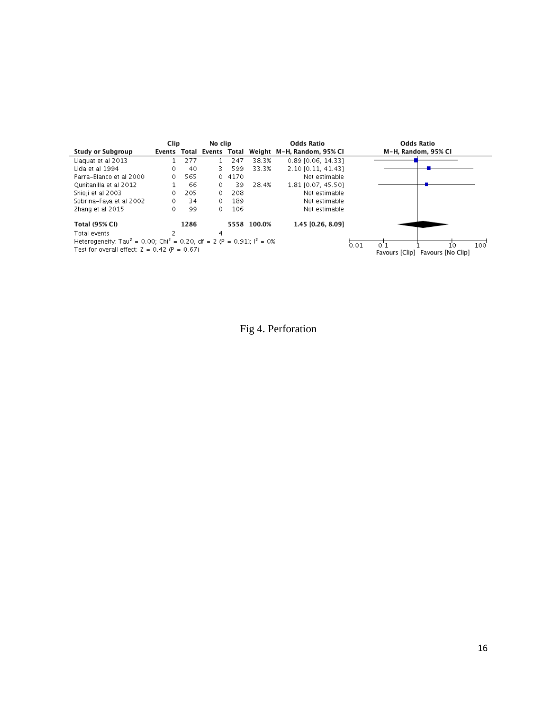|                                                                                                                                                  | Clip |      | No clip                   |        |             | <b>Odds Ratio</b>          | <b>Odds Ratio</b>                                        |
|--------------------------------------------------------------------------------------------------------------------------------------------------|------|------|---------------------------|--------|-------------|----------------------------|----------------------------------------------------------|
| <b>Study or Subgroup</b>                                                                                                                         |      |      | Events Total Events Total |        |             | Weight M-H. Random. 95% CI | M-H. Random. 95% CI                                      |
| Liaguat et al 2013                                                                                                                               |      | 277  | $\mathbf{1}$              | 247    | 38.3%       | 0.89 [0.06, 14.33]         |                                                          |
| Lida et al 1994                                                                                                                                  | 0    | 40   | з.                        | 599    | 33.3%       | 2.10 [0.11, 41.43]         |                                                          |
| Parra-Blanco et al 2000                                                                                                                          | 0.   | 565  |                           | 0.4170 |             | Not estimable              |                                                          |
| Qunitanilla et al 2012                                                                                                                           |      | 66   | 0                         | 39.    | 28.4%       | 1.81 [0.07, 45.50]         |                                                          |
| Shioji et al 2003                                                                                                                                | 0    | 205  | $\circ$                   | 208    |             | Not estimable              |                                                          |
| Sobrina-Faya et al 2002                                                                                                                          | 0    | 34   | $\circ$                   | 189    |             | Not estimable              |                                                          |
| Zhang et al 2015                                                                                                                                 | 0    | 99   | 0                         | 106    |             | Not estimable              |                                                          |
| Total (95% CI)                                                                                                                                   |      | 1286 |                           |        | 5558 100.0% | 1.45 [0.26, 8.09]          |                                                          |
| Total events                                                                                                                                     |      |      | 4                         |        |             |                            |                                                          |
| Heterogeneity: Tau <sup>2</sup> = 0.00; Chi <sup>2</sup> = 0.20, df = 2 (P = 0.91); $I^2$ = 0%<br>Test for overall effect: $Z = 0.42$ (P = 0.67) |      |      |                           |        |             |                            | 0.01<br>100<br>10<br>Favours [Clip]<br>Favours [No Clip] |

Fig 4. Perforation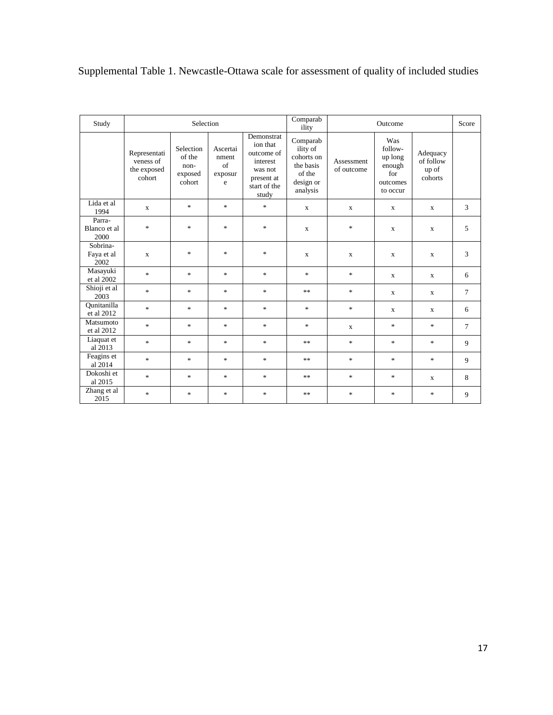# Supplemental Table 1. Newcastle-Ottawa scale for assessment of quality of included studies

| Study                          |                                                    | Selection                                        |                                                 |                                                                                                    | Comparab<br>ility                                                                  |                          | Outcome                                                            |                                           | Score          |
|--------------------------------|----------------------------------------------------|--------------------------------------------------|-------------------------------------------------|----------------------------------------------------------------------------------------------------|------------------------------------------------------------------------------------|--------------------------|--------------------------------------------------------------------|-------------------------------------------|----------------|
|                                | Representati<br>veness of<br>the exposed<br>cohort | Selection<br>of the<br>non-<br>exposed<br>cohort | Ascertai<br>nment<br>$\sigma$ f<br>exposur<br>e | Demonstrat<br>ion that<br>outcome of<br>interest<br>was not<br>present at<br>start of the<br>study | Comparab<br>ility of<br>cohorts on<br>the basis<br>of the<br>design or<br>analysis | Assessment<br>of outcome | Was<br>follow-<br>up long<br>enough<br>for<br>outcomes<br>to occur | Adequacy<br>of follow<br>up of<br>cohorts |                |
| Lida et al<br>1994             | $\mathbf X$                                        | $\ast$                                           | $\ast$                                          | $\frac{d\mathbf{x}}{d\mathbf{x}}$                                                                  | $\mathbf x$                                                                        | $\mathbf X$              | $\mathbf X$                                                        | X                                         | 3              |
| Parra-<br>Blanco et al<br>2000 | $\ast$                                             | $\ast$                                           | $\ast$                                          | $\frac{d\mathbf{x}}{d\mathbf{x}}$                                                                  | $\mathbf{x}$                                                                       | $\ast$                   | X                                                                  | X                                         | 5              |
| Sobrina-<br>Faya et al<br>2002 | $\mathbf{x}$                                       | $\ast$                                           | $\ast$                                          | $\frac{d\mathbf{r}}{d\mathbf{r}}$                                                                  | $\mathbf{x}$                                                                       | $\mathbf{x}$             | $\mathbf x$                                                        | $\mathbf{X}$                              | 3              |
| Masayuki<br>et al 2002         | $\ast$                                             | $\ast$                                           | $\ast$                                          | $\frac{d\mathbf{x}}{d\mathbf{x}}$                                                                  | $\frac{d\mathbf{x}}{d\mathbf{x}}$                                                  | $\ast$                   | $\mathbf X$                                                        | X                                         | 6              |
| Shioji et al<br>2003           | $\ast$                                             | $\ast$                                           | $\ast$                                          | $\frac{d\mathbf{x}}{d\mathbf{x}}$                                                                  | $**$                                                                               | $\ast$                   | X                                                                  | X                                         | $\overline{7}$ |
| Ounitanilla<br>et al 2012      | $\ast$                                             | $\ast$                                           | $\ast$                                          | *                                                                                                  | *                                                                                  | $\ast$                   | $\mathbf X$                                                        | X                                         | 6              |
| Matsumoto<br>et al 2012        | $\ast$                                             | $\ast$                                           | $\ast$                                          | $\frac{d\mathbf{x}}{d\mathbf{x}}$                                                                  | $\frac{d\mathbf{r}}{d\mathbf{r}}$                                                  | X                        | $\ast$                                                             | $\frac{1}{26}$                            | $\tau$         |
| Liaquat et<br>al 2013          | $\ast$                                             | $\ast$                                           | $\ast$                                          | $\frac{d\mathbf{x}}{d\mathbf{x}}$                                                                  | **                                                                                 | $\ast$                   | $\ast$                                                             | $\ast$                                    | 9              |
| Feagins et<br>al 2014          | $\ast$                                             | $\ast$                                           | $\ast$                                          | $\frac{d\mathbf{x}}{d\mathbf{x}}$                                                                  | **                                                                                 | $\ast$                   | $\ast$                                                             | $\ast$                                    | 9              |
| Dokoshi et<br>al 2015          | $\ast$                                             | $\ast$                                           | $\ast$                                          | $\frac{d\mathbf{x}}{d\mathbf{x}}$                                                                  | **                                                                                 | $\ast$                   | $\ast$                                                             | X                                         | 8              |
| Zhang et al<br>2015            | $\ast$                                             | $\ast$                                           | $\ast$                                          | *                                                                                                  | **                                                                                 | $\ast$                   | $\ast$                                                             | $\ast$                                    | 9              |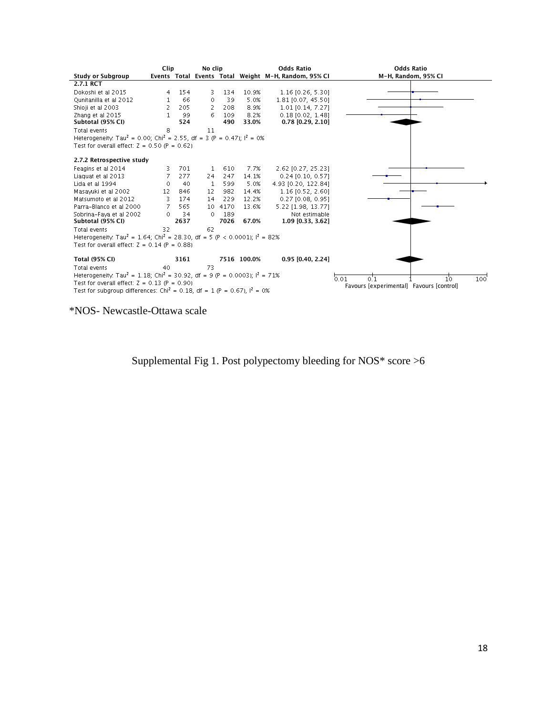|                                                                                                    | Clip |      | No clip  |      |             | <b>Odds Ratio</b>                                    | <b>Odds Ratio</b>                        |
|----------------------------------------------------------------------------------------------------|------|------|----------|------|-------------|------------------------------------------------------|------------------------------------------|
| Study or Subgroup                                                                                  |      |      |          |      |             | Events Total Events Total Weight M-H, Random, 95% CI | M-H, Random, 95% CI                      |
| 2.7.1 RCT                                                                                          |      |      |          |      |             |                                                      |                                          |
| Dokoshi et al 2015                                                                                 | 4    | 154  | 3.       | 134  | 10.9%       | $1.16$ [0.26, 5.30]                                  |                                          |
| Qunitanilla et al 2012                                                                             | 1    | 66   | 0        | 39   | 5.0%        | 1.81 [0.07, 45.50]                                   |                                          |
| Shioji et al 2003                                                                                  | 2    | 205  | 2        | 208  | 8.9%        | 1.01 [0.14, 7.27]                                    |                                          |
| Zhang et al 2015                                                                                   | 1    | 99   | 6        | 109  | 8.2%        | $0.18$ [0.02, 1.48]                                  |                                          |
| Subtotal (95% CI)                                                                                  |      | 524  |          | 490  | 33.0%       | $0.78$ [0.29, 2.10]                                  |                                          |
| Total events                                                                                       | 8    |      | 11       |      |             |                                                      |                                          |
| Heterogeneity: Tau <sup>2</sup> = 0.00; Chi <sup>2</sup> = 2.55, df = 3 (P = 0.47); $I^2$ = 0%     |      |      |          |      |             |                                                      |                                          |
| Test for overall effect: $Z = 0.50$ (P = 0.62)                                                     |      |      |          |      |             |                                                      |                                          |
| 2.7.2 Retrospective study                                                                          |      |      |          |      |             |                                                      |                                          |
| Feagins et al 2014                                                                                 | 3    | 701  | 1        | 610  | 7.7%        | 2.62 [0.27, 25.23]                                   |                                          |
| Liaguat et al 2013                                                                                 | 7    | 277  | 24       | 247  | 14.1%       | 0.24 [0.10, 0.57]                                    |                                          |
| Lida et al 1994                                                                                    | 0    | 40   | 1        | 599  | 5.0%        | 4.93 [0.20, 122.84]                                  |                                          |
| Masavuki et al 2002.                                                                               | 12   | 846  | 12       | 982  | 14.4%       | $1.16$ [0.52, 2.60]                                  |                                          |
| Matsumoto et al 2012                                                                               | 3    | 174  | 14       | 229  | 12.2%       | 0.27 [0.08, 0.95]                                    |                                          |
| Parra-Blanco et al 2000                                                                            | 7    | 565. | 10       | 4170 | 13.6%       | 5.22 [1.98, 13.77]                                   |                                          |
| Sobrina-Faya et al 2002                                                                            | 0.   | 34   | $\Omega$ | 189  |             | Not estimable                                        |                                          |
| Subtotal (95% CI)                                                                                  |      | 2637 |          | 7026 | 67.0%       | 1.09 [0.33, 3.62]                                    |                                          |
| Total events                                                                                       | 32   |      | 62       |      |             |                                                      |                                          |
| Heterogeneity: Tau <sup>2</sup> = 1.64; Chi <sup>2</sup> = 28.30, df = 5 (P < 0.0001); $I^2$ = 82% |      |      |          |      |             |                                                      |                                          |
| Test for overall effect: $Z = 0.14$ (P = 0.88)                                                     |      |      |          |      |             |                                                      |                                          |
| <b>Total (95% CI)</b>                                                                              |      | 3161 |          |      | 7516 100.0% | $0.95$ [0.40, 2.24]                                  |                                          |
| Total events                                                                                       | 40   |      | 73       |      |             |                                                      |                                          |
| Heterogeneity, Tau <sup>2</sup> = 1.18; Chi <sup>2</sup> = 30.92, df = 9 (P = 0.0003); $I^2$ = 71% |      |      |          |      |             |                                                      |                                          |
| Test for overall effect: $Z = 0.13$ (P = 0.90)                                                     |      |      |          |      |             |                                                      | 0.01<br>0.1<br>100'<br>10.               |
| Test for subgroup differences: Chi <sup>2</sup> = 0.18, df = 1 (P = 0.67), $I^2 = 0\%$             |      |      |          |      |             |                                                      | Favours [experimental] Favours [control] |

\*NOS- Newcastle-Ottawa scale

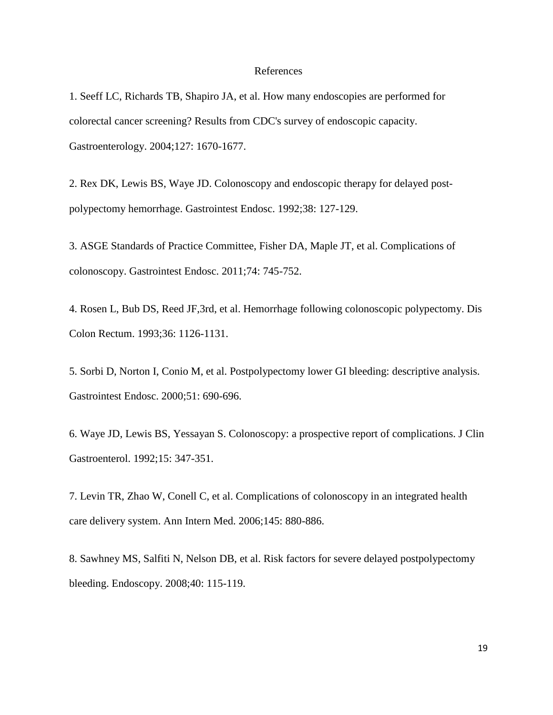#### References

1. Seeff LC, Richards TB, Shapiro JA, et al. How many endoscopies are performed for colorectal cancer screening? Results from CDC's survey of endoscopic capacity. Gastroenterology. 2004;127: 1670-1677.

2. Rex DK, Lewis BS, Waye JD. Colonoscopy and endoscopic therapy for delayed postpolypectomy hemorrhage. Gastrointest Endosc. 1992;38: 127-129.

3. ASGE Standards of Practice Committee, Fisher DA, Maple JT, et al. Complications of colonoscopy. Gastrointest Endosc. 2011;74: 745-752.

4. Rosen L, Bub DS, Reed JF,3rd, et al. Hemorrhage following colonoscopic polypectomy. Dis Colon Rectum. 1993;36: 1126-1131.

5. Sorbi D, Norton I, Conio M, et al. Postpolypectomy lower GI bleeding: descriptive analysis. Gastrointest Endosc. 2000;51: 690-696.

6. Waye JD, Lewis BS, Yessayan S. Colonoscopy: a prospective report of complications. J Clin Gastroenterol. 1992;15: 347-351.

7. Levin TR, Zhao W, Conell C, et al. Complications of colonoscopy in an integrated health care delivery system. Ann Intern Med. 2006;145: 880-886.

8. Sawhney MS, Salfiti N, Nelson DB, et al. Risk factors for severe delayed postpolypectomy bleeding. Endoscopy. 2008;40: 115-119.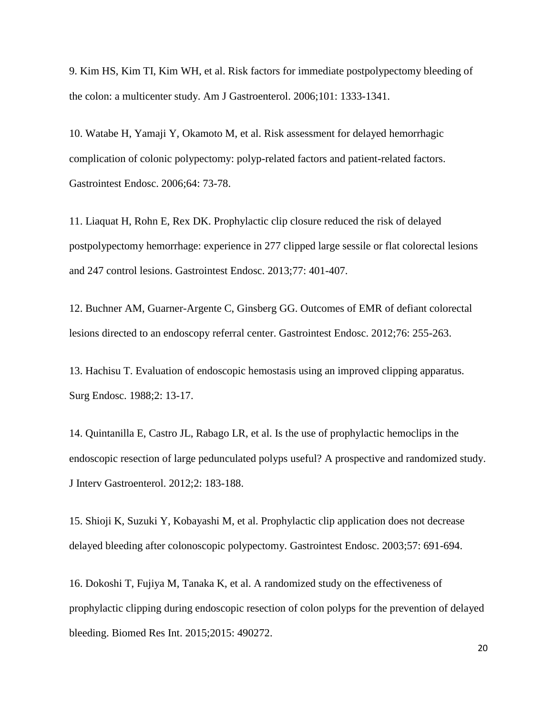9. Kim HS, Kim TI, Kim WH, et al. Risk factors for immediate postpolypectomy bleeding of the colon: a multicenter study. Am J Gastroenterol. 2006;101: 1333-1341.

10. Watabe H, Yamaji Y, Okamoto M, et al. Risk assessment for delayed hemorrhagic complication of colonic polypectomy: polyp-related factors and patient-related factors. Gastrointest Endosc. 2006;64: 73-78.

11. Liaquat H, Rohn E, Rex DK. Prophylactic clip closure reduced the risk of delayed postpolypectomy hemorrhage: experience in 277 clipped large sessile or flat colorectal lesions and 247 control lesions. Gastrointest Endosc. 2013;77: 401-407.

12. Buchner AM, Guarner-Argente C, Ginsberg GG. Outcomes of EMR of defiant colorectal lesions directed to an endoscopy referral center. Gastrointest Endosc. 2012;76: 255-263.

13. Hachisu T. Evaluation of endoscopic hemostasis using an improved clipping apparatus. Surg Endosc. 1988;2: 13-17.

14. Quintanilla E, Castro JL, Rabago LR, et al. Is the use of prophylactic hemoclips in the endoscopic resection of large pedunculated polyps useful? A prospective and randomized study. J Interv Gastroenterol. 2012;2: 183-188.

15. Shioji K, Suzuki Y, Kobayashi M, et al. Prophylactic clip application does not decrease delayed bleeding after colonoscopic polypectomy. Gastrointest Endosc. 2003;57: 691-694.

16. Dokoshi T, Fujiya M, Tanaka K, et al. A randomized study on the effectiveness of prophylactic clipping during endoscopic resection of colon polyps for the prevention of delayed bleeding. Biomed Res Int. 2015;2015: 490272.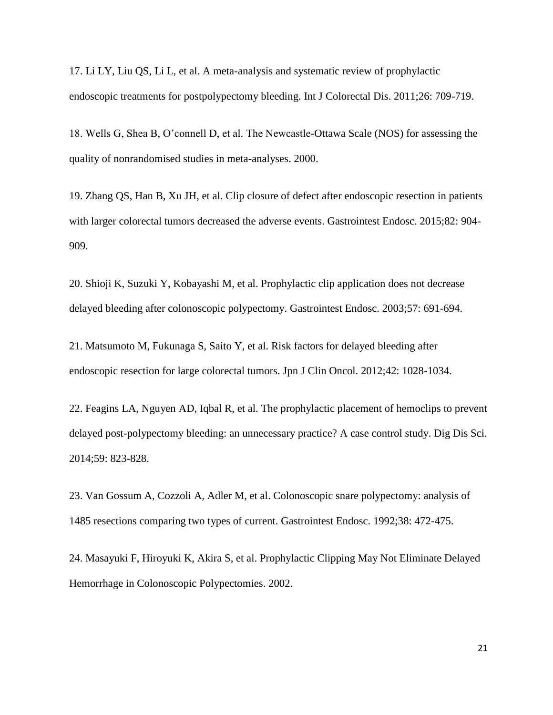17. Li LY, Liu QS, Li L, et al. A meta-analysis and systematic review of prophylactic endoscopic treatments for postpolypectomy bleeding. Int J Colorectal Dis. 2011;26: 709-719.

18. Wells G, Shea B, O'connell D, et al. The Newcastle-Ottawa Scale (NOS) for assessing the quality of nonrandomised studies in meta-analyses. 2000.

19. Zhang QS, Han B, Xu JH, et al. Clip closure of defect after endoscopic resection in patients with larger colorectal tumors decreased the adverse events. Gastrointest Endosc. 2015;82: 904- 909.

20. Shioji K, Suzuki Y, Kobayashi M, et al. Prophylactic clip application does not decrease delayed bleeding after colonoscopic polypectomy. Gastrointest Endosc. 2003;57: 691-694.

21. Matsumoto M, Fukunaga S, Saito Y, et al. Risk factors for delayed bleeding after endoscopic resection for large colorectal tumors. Jpn J Clin Oncol. 2012;42: 1028-1034.

22. Feagins LA, Nguyen AD, Iqbal R, et al. The prophylactic placement of hemoclips to prevent delayed post-polypectomy bleeding: an unnecessary practice? A case control study. Dig Dis Sci. 2014;59: 823-828.

23. Van Gossum A, Cozzoli A, Adler M, et al. Colonoscopic snare polypectomy: analysis of 1485 resections comparing two types of current. Gastrointest Endosc. 1992;38: 472-475.

24. Masayuki F, Hiroyuki K, Akira S, et al. Prophylactic Clipping May Not Eliminate Delayed Hemorrhage in Colonoscopic Polypectomies. 2002.